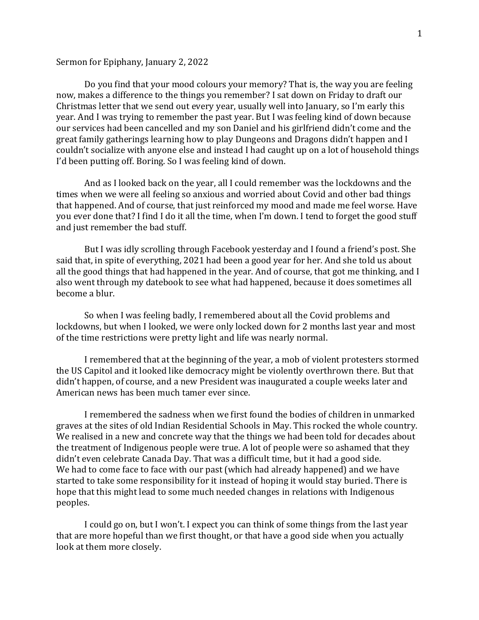## Sermon for Epiphany, January 2, 2022

Do you find that your mood colours your memory? That is, the way you are feeling now, makes a difference to the things you remember? I sat down on Friday to draft our Christmas letter that we send out every year, usually well into January, so I'm early this year. And I was trying to remember the past year. But I was feeling kind of down because our services had been cancelled and my son Daniel and his girlfriend didn't come and the great family gatherings learning how to play Dungeons and Dragons didn't happen and I couldn't socialize with anyone else and instead I had caught up on a lot of household things I'd been putting off. Boring. So I was feeling kind of down.

And as I looked back on the year, all I could remember was the lockdowns and the times when we were all feeling so anxious and worried about Covid and other bad things that happened. And of course, that just reinforced my mood and made me feel worse. Have you ever done that? I find I do it all the time, when I'm down. I tend to forget the good stuff and just remember the bad stuff.

But I was idly scrolling through Facebook yesterday and I found a friend's post. She said that, in spite of everything, 2021 had been a good year for her. And she told us about all the good things that had happened in the year. And of course, that got me thinking, and I also went through my datebook to see what had happened, because it does sometimes all become a blur.

So when I was feeling badly, I remembered about all the Covid problems and lockdowns, but when I looked, we were only locked down for 2 months last year and most of the time restrictions were pretty light and life was nearly normal.

I remembered that at the beginning of the year, a mob of violent protesters stormed the US Capitol and it looked like democracy might be violently overthrown there. But that didn't happen, of course, and a new President was inaugurated a couple weeks later and American news has been much tamer ever since.

I remembered the sadness when we first found the bodies of children in unmarked graves at the sites of old Indian Residential Schools in May. This rocked the whole country. We realised in a new and concrete way that the things we had been told for decades about the treatment of Indigenous people were true. A lot of people were so ashamed that they didn't even celebrate Canada Day. That was a difficult time, but it had a good side. We had to come face to face with our past (which had already happened) and we have started to take some responsibility for it instead of hoping it would stay buried. There is hope that this might lead to some much needed changes in relations with Indigenous peoples.

I could go on, but I won't. I expect you can think of some things from the last year that are more hopeful than we first thought, or that have a good side when you actually look at them more closely.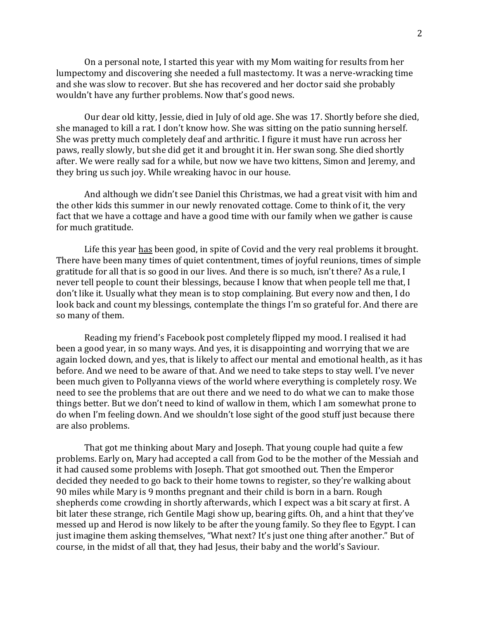On a personal note, I started this year with my Mom waiting for results from her lumpectomy and discovering she needed a full mastectomy. It was a nerve-wracking time and she was slow to recover. But she has recovered and her doctor said she probably wouldn't have any further problems. Now that's good news.

Our dear old kitty, Jessie, died in July of old age. She was 17. Shortly before she died, she managed to kill a rat. I don't know how. She was sitting on the patio sunning herself. She was pretty much completely deaf and arthritic. I figure it must have run across her paws, really slowly, but she did get it and brought it in. Her swan song. She died shortly after. We were really sad for a while, but now we have two kittens, Simon and Jeremy, and they bring us such joy. While wreaking havoc in our house.

And although we didn't see Daniel this Christmas, we had a great visit with him and the other kids this summer in our newly renovated cottage. Come to think of it, the very fact that we have a cottage and have a good time with our family when we gather is cause for much gratitude.

Life this year has been good, in spite of Covid and the very real problems it brought. There have been many times of quiet contentment, times of joyful reunions, times of simple gratitude for all that is so good in our lives. And there is so much, isn't there? As a rule, I never tell people to count their blessings, because I know that when people tell me that, I don't like it. Usually what they mean is to stop complaining. But every now and then, I do look back and count my blessings, contemplate the things I'm so grateful for. And there are so many of them.

Reading my friend's Facebook post completely flipped my mood. I realised it had been a good year, in so many ways. And yes, it is disappointing and worrying that we are again locked down, and yes, that is likely to affect our mental and emotional health, as it has before. And we need to be aware of that. And we need to take steps to stay well. I've never been much given to Pollyanna views of the world where everything is completely rosy. We need to see the problems that are out there and we need to do what we can to make those things better. But we don't need to kind of wallow in them, which I am somewhat prone to do when I'm feeling down. And we shouldn't lose sight of the good stuff just because there are also problems.

That got me thinking about Mary and Joseph. That young couple had quite a few problems. Early on, Mary had accepted a call from God to be the mother of the Messiah and it had caused some problems with Joseph. That got smoothed out. Then the Emperor decided they needed to go back to their home towns to register, so they're walking about 90 miles while Mary is 9 months pregnant and their child is born in a barn. Rough shepherds come crowding in shortly afterwards, which I expect was a bit scary at first. A bit later these strange, rich Gentile Magi show up, bearing gifts. Oh, and a hint that they've messed up and Herod is now likely to be after the young family. So they flee to Egypt. I can just imagine them asking themselves, "What next? It's just one thing after another." But of course, in the midst of all that, they had Jesus, their baby and the world's Saviour.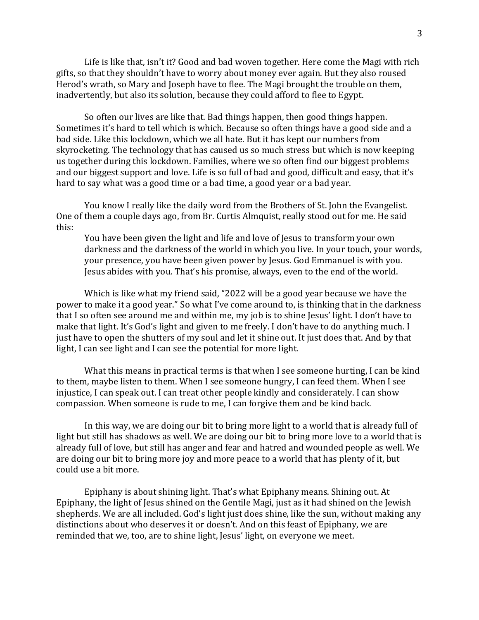Life is like that, isn't it? Good and bad woven together. Here come the Magi with rich gifts, so that they shouldn't have to worry about money ever again. But they also roused Herod's wrath, so Mary and Joseph have to flee. The Magi brought the trouble on them, inadvertently, but also its solution, because they could afford to flee to Egypt.

So often our lives are like that. Bad things happen, then good things happen. Sometimes it's hard to tell which is which. Because so often things have a good side and a bad side. Like this lockdown, which we all hate. But it has kept our numbers from skyrocketing. The technology that has caused us so much stress but which is now keeping us together during this lockdown. Families, where we so often find our biggest problems and our biggest support and love. Life is so full of bad and good, difficult and easy, that it's hard to say what was a good time or a bad time, a good year or a bad year.

You know I really like the daily word from the Brothers of St. John the Evangelist. One of them a couple days ago, from Br. Curtis Almquist, really stood out for me. He said this:

You have been given the light and life and love of Jesus to transform your own darkness and the darkness of the world in which you live. In your touch, your words, your presence, you have been given power by Jesus. God Emmanuel is with you. Jesus abides with you. That's his promise, always, even to the end of the world.

Which is like what my friend said, "2022 will be a good year because we have the power to make it a good year." So what I've come around to, is thinking that in the darkness that I so often see around me and within me, my job is to shine Jesus' light. I don't have to make that light. It's God's light and given to me freely. I don't have to do anything much. I just have to open the shutters of my soul and let it shine out. It just does that. And by that light, I can see light and I can see the potential for more light.

What this means in practical terms is that when I see someone hurting, I can be kind to them, maybe listen to them. When I see someone hungry, I can feed them. When I see injustice, I can speak out. I can treat other people kindly and considerately. I can show compassion. When someone is rude to me, I can forgive them and be kind back.

In this way, we are doing our bit to bring more light to a world that is already full of light but still has shadows as well. We are doing our bit to bring more love to a world that is already full of love, but still has anger and fear and hatred and wounded people as well. We are doing our bit to bring more joy and more peace to a world that has plenty of it, but could use a bit more.

Epiphany is about shining light. That's what Epiphany means. Shining out. At Epiphany, the light of Jesus shined on the Gentile Magi, just as it had shined on the Jewish shepherds. We are all included. God's light just does shine, like the sun, without making any distinctions about who deserves it or doesn't. And on this feast of Epiphany, we are reminded that we, too, are to shine light, Jesus' light, on everyone we meet.